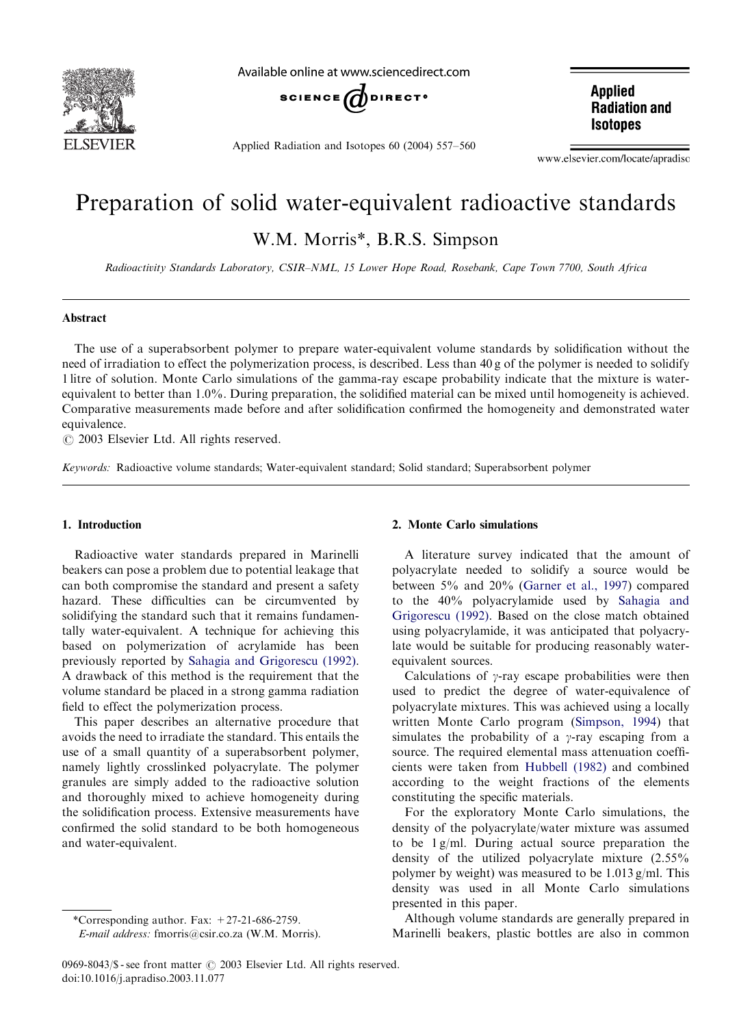

Available online at www.sciencedirect.com



Applied Radiation and Isotopes 60 (2004) 557–560

**Applied Radiation and Isotopes** 

www.elsevier.com/locate/apradiso

# Preparation of solid water-equivalent radioactive standards W.M. Morris\*, B.R.S. Simpson

Radioactivity Standards Laboratory, CSIR–NML, 15 Lower Hope Road, Rosebank, Cape Town 7700, South Africa

## Abstract

The use of a superabsorbent polymer to prepare water-equivalent volume standards by solidification without the need of irradiation to effect the polymerization process, is described. Less than 40 g of the polymer is needed to solidify 1 litre of solution. Monte Carlo simulations of the gamma-ray escape probability indicate that the mixture is waterequivalent to better than 1.0%. During preparation, the solidified material can be mixed until homogeneity is achieved. Comparative measurements made before and after solidification confirmed the homogeneity and demonstrated water equivalence.

 $O$  2003 Elsevier Ltd. All rights reserved.

Keywords: Radioactive volume standards; Water-equivalent standard; Solid standard; Superabsorbent polymer

# 1. Introduction

Radioactive water standards prepared in Marinelli beakers can pose a problem due to potential leakage that can both compromise the standard and present a safety hazard. These difficulties can be circumvented by solidifying the standard such that it remains fundamentally water-equivalent. A technique for achieving this based on polymerization of acrylamide has been previously reported by [Sahagia and Grigorescu \(1992\).](#page-3-0) A drawback of this method is the requirement that the volume standard be placed in a strong gamma radiation field to effect the polymerization process.

This paper describes an alternative procedure that avoids the need to irradiate the standard. This entails the use of a small quantity of a superabsorbent polymer, namely lightly crosslinked polyacrylate. The polymer granules are simply added to the radioactive solution and thoroughly mixed to achieve homogeneity during the solidification process. Extensive measurements have confirmed the solid standard to be both homogeneous and water-equivalent.

# 2. Monte Carlo simulations

A literature survey indicated that the amount of polyacrylate needed to solidify a source would be between 5% and 20% ([Garner et al., 1997](#page-3-0)) compared to the 40% polyacrylamide used by [Sahagia and](#page-3-0) [Grigorescu \(1992\).](#page-3-0) Based on the close match obtained using polyacrylamide, it was anticipated that polyacrylate would be suitable for producing reasonably waterequivalent sources.

Calculations of  $\gamma$ -ray escape probabilities were then used to predict the degree of water-equivalence of polyacrylate mixtures. This was achieved using a locally written Monte Carlo program [\(Simpson, 1994](#page-3-0)) that simulates the probability of a  $\gamma$ -ray escaping from a source. The required elemental mass attenuation coefficients were taken from [Hubbell \(1982\)](#page-3-0) and combined according to the weight fractions of the elements constituting the specific materials.

For the exploratory Monte Carlo simulations, the density of the polyacrylate/water mixture was assumed to be 1 g/ml. During actual source preparation the density of the utilized polyacrylate mixture (2.55% polymer by weight) was measured to be 1.013 g/ml. This density was used in all Monte Carlo simulations presented in this paper.

Although volume standards are generally prepared in Marinelli beakers, plastic bottles are also in common

<sup>\*</sup>Corresponding author. Fax:  $+27-21-686-2759$ .

E-mail address: fmorris@csir.co.za (W.M. Morris).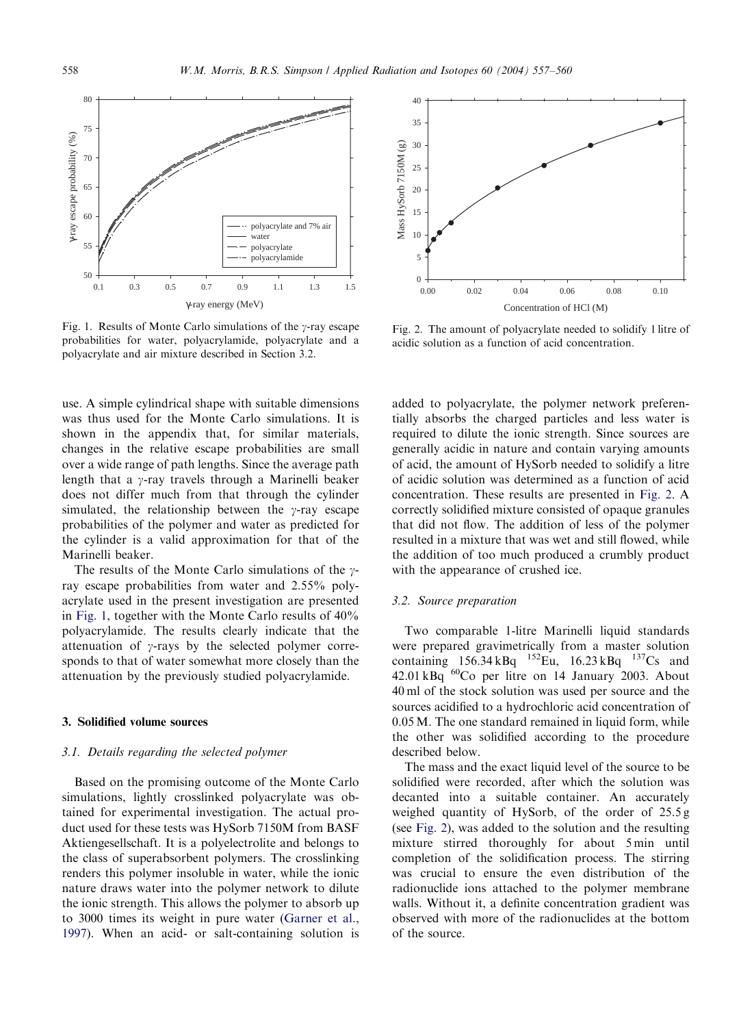<span id="page-1-0"></span>

Fig. 1. Results of Monte Carlo simulations of the  $\gamma$ -ray escape probabilities for water, polyacrylamide, polyacrylate and a polyacrylate and air mixture described in Section 3.2.

use. A simple cylindrical shape with suitable dimensions was thus used for the Monte Carlo simulations. It is shown in the appendix that, for similar materials, changes in the relative escape probabilities are small over a wide range of path lengths. Since the average path length that a  $\gamma$ -ray travels through a Marinelli beaker does not differ much from that through the cylinder simulated, the relationship between the  $\gamma$ -ray escape probabilities of the polymer and water as predicted for the cylinder is a valid approximation for that of the Marinelli beaker.

The results of the Monte Carlo simulations of the  $\gamma$ ray escape probabilities from water and 2.55% polyacrylate used in the present investigation are presented in Fig. 1, together with the Monte Carlo results of 40% polyacrylamide. The results clearly indicate that the attenuation of  $\gamma$ -rays by the selected polymer corresponds to that of water somewhat more closely than the attenuation by the previously studied polyacrylamide.

# 3. Solidified volume sources

## 3.1. Details regarding the selected polymer

Based on the promising outcome of the Monte Carlo simulations, lightly crosslinked polyacrylate was obtained for experimental investigation. The actual product used for these tests was HySorb 7150M from BASF Aktiengesellschaft. It is a polyelectrolite and belongs to the class of superabsorbent polymers. The crosslinking renders this polymer insoluble in water, while the ionic nature draws water into the polymer network to dilute the ionic strength. This allows the polymer to absorb up to 3000 times its weight in pure water ([Garner et al.,](#page-3-0) [1997\)](#page-3-0). When an acid- or salt-containing solution is



Fig. 2. The amount of polyacrylate needed to solidify 1 litre of acidic solution as a function of acid concentration.

added to polyacrylate, the polymer network preferentially absorbs the charged particles and less water is required to dilute the ionic strength. Since sources are generally acidic in nature and contain varying amounts of acid, the amount of HySorb needed to solidify a litre of acidic solution was determined as a function of acid concentration. These results are presented in Fig. 2. A correctly solidified mixture consisted of opaque granules that did not flow. The addition of less of the polymer resulted in a mixture that was wet and still flowed, while the addition of too much produced a crumbly product with the appearance of crushed ice.

## 3.2. Source preparation

Two comparable 1-litre Marinelli liquid standards were prepared gravimetrically from a master solution containing  $156.34 \text{ kBq}$   $^{152}\text{Eu}$ ,  $16.23 \text{ kBq}$   $^{137}\text{Cs}$  and  $42.01$  kBq  $^{60}$ Co per litre on 14 January 2003. About 40 ml of the stock solution was used per source and the sources acidified to a hydrochloric acid concentration of 0.05 M. The one standard remained in liquid form, while the other was solidified according to the procedure described below.

The mass and the exact liquid level of the source to be solidified were recorded, after which the solution was decanted into a suitable container. An accurately weighed quantity of HySorb, of the order of 25.5 g (see Fig. 2), was added to the solution and the resulting mixture stirred thoroughly for about 5 min until completion of the solidification process. The stirring was crucial to ensure the even distribution of the radionuclide ions attached to the polymer membrane walls. Without it, a definite concentration gradient was observed with more of the radionuclides at the bottom of the source.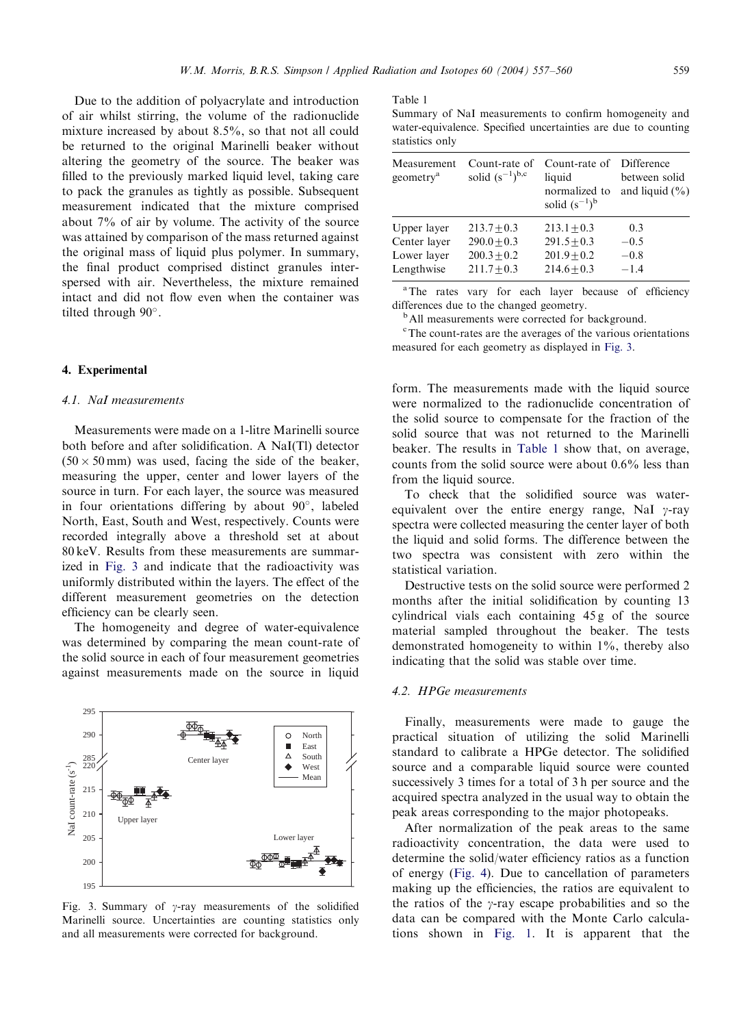Due to the addition of polyacrylate and introduction of air whilst stirring, the volume of the radionuclide mixture increased by about 8.5%, so that not all could be returned to the original Marinelli beaker without altering the geometry of the source. The beaker was filled to the previously marked liquid level, taking care to pack the granules as tightly as possible. Subsequent measurement indicated that the mixture comprised about 7% of air by volume. The activity of the source was attained by comparison of the mass returned against the original mass of liquid plus polymer. In summary, the final product comprised distinct granules interspersed with air. Nevertheless, the mixture remained intact and did not flow even when the container was tilted through 90°.

## 4. Experimental

#### 4.1. NaI measurements

Measurements were made on a 1-litre Marinelli source both before and after solidification. A NaI(Tl) detector  $(50 \times 50 \text{ mm})$  was used, facing the side of the beaker, measuring the upper, center and lower layers of the source in turn. For each layer, the source was measured in four orientations differing by about  $90^\circ$ , labeled North, East, South and West, respectively. Counts were recorded integrally above a threshold set at about 80 keV. Results from these measurements are summarized in Fig. 3 and indicate that the radioactivity was uniformly distributed within the layers. The effect of the different measurement geometries on the detection efficiency can be clearly seen.

The homogeneity and degree of water-equivalence was determined by comparing the mean count-rate of the solid source in each of four measurement geometries against measurements made on the source in liquid



Fig. 3. Summary of  $\gamma$ -ray measurements of the solidified Marinelli source. Uncertainties are counting statistics only and all measurements were corrected for background.

#### Table 1

Summary of NaI measurements to confirm homogeneity and water-equivalence. Specified uncertainties are due to counting statistics only

| Measurement<br>geometry <sup>a</sup> | Count-rate of<br>solid $(s^{-1})^{b,c}$ | Count-rate of<br>liquid<br>normalized to<br>solid $(s^{-1})^b$ | Difference<br>between solid<br>and liquid $(\% )$ |
|--------------------------------------|-----------------------------------------|----------------------------------------------------------------|---------------------------------------------------|
| Upper layer                          | $213.7 + 0.3$                           | $213.1 + 0.3$                                                  | 0.3                                               |
| Center layer                         | $290.0 + 0.3$                           | $291.5 + 0.3$                                                  | $-0.5$                                            |
| Lower layer                          | $200.3 + 0.2$                           | $201.9 + 0.2$                                                  | $-0.8$                                            |
| Lengthwise                           | $211.7 + 0.3$                           | $214.6 + 0.3$                                                  | $-1.4$                                            |

<sup>a</sup>The rates vary for each layer because of efficiency differences due to the changed geometry.<br><sup>b</sup>All measurements were corrected for background.

c The count-rates are the averages of the various orientations measured for each geometry as displayed in Fig. 3.

form. The measurements made with the liquid source were normalized to the radionuclide concentration of the solid source to compensate for the fraction of the solid source that was not returned to the Marinelli beaker. The results in Table 1 show that, on average, counts from the solid source were about 0.6% less than from the liquid source.

To check that the solidified source was waterequivalent over the entire energy range, NaI  $\gamma$ -ray spectra were collected measuring the center layer of both the liquid and solid forms. The difference between the two spectra was consistent with zero within the statistical variation.

Destructive tests on the solid source were performed 2 months after the initial solidification by counting 13 cylindrical vials each containing 45 g of the source material sampled throughout the beaker. The tests demonstrated homogeneity to within 1%, thereby also indicating that the solid was stable over time.

# 4.2. HPGe measurements

Finally, measurements were made to gauge the practical situation of utilizing the solid Marinelli standard to calibrate a HPGe detector. The solidified source and a comparable liquid source were counted successively 3 times for a total of 3 h per source and the acquired spectra analyzed in the usual way to obtain the peak areas corresponding to the major photopeaks.

After normalization of the peak areas to the same radioactivity concentration, the data were used to determine the solid/water efficiency ratios as a function of energy [\(Fig. 4](#page-3-0)). Due to cancellation of parameters making up the efficiencies, the ratios are equivalent to the ratios of the  $\gamma$ -ray escape probabilities and so the data can be compared with the Monte Carlo calculations shown in [Fig. 1](#page-1-0). It is apparent that the